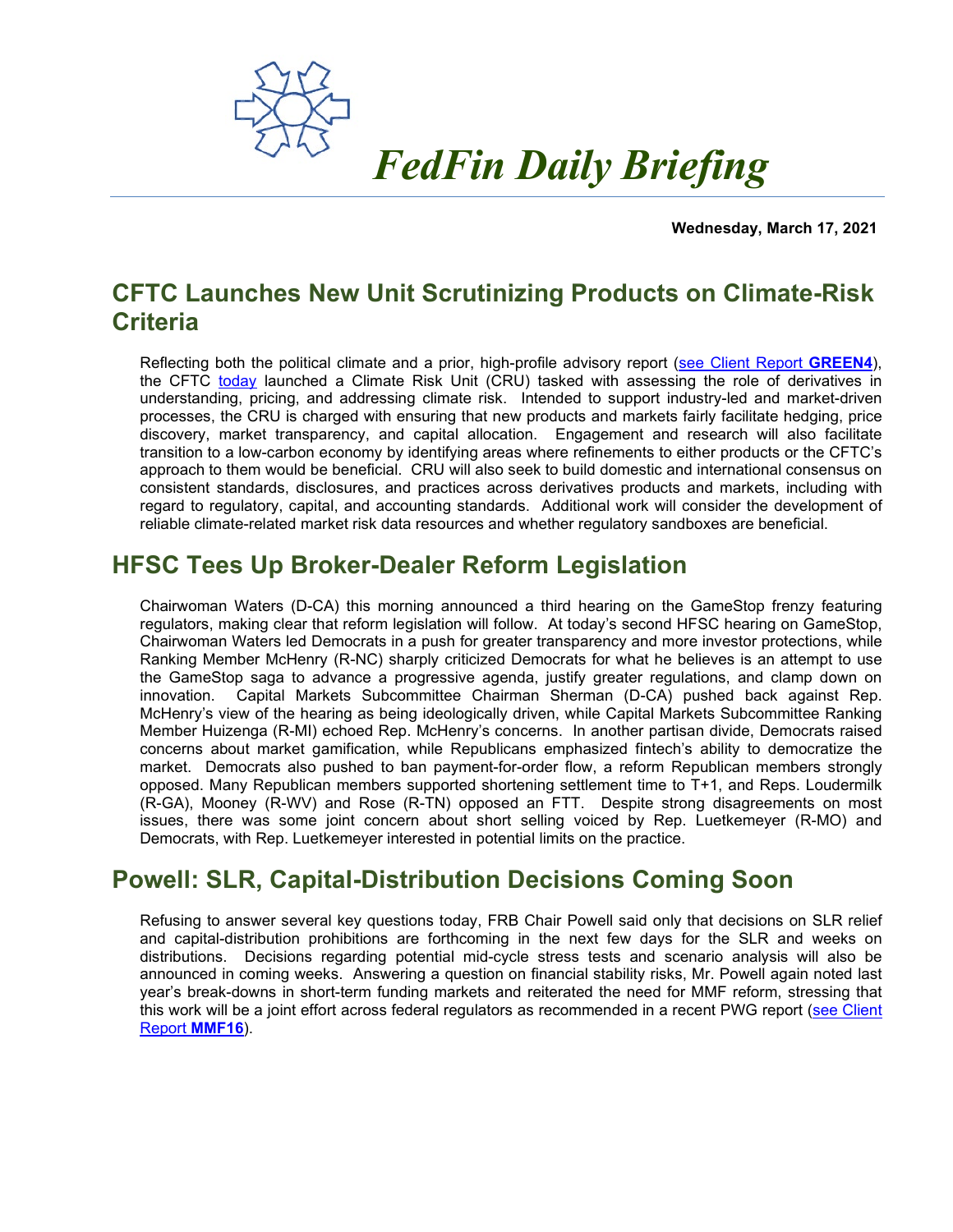

**Wednesday, March 17, 2021**

## **CFTC Launches New Unit Scrutinizing Products on Climate-Risk Criteria**

Reflecting both the political climate and a prior, high-profile advisory report [\(see Client Report](https://fedfin.com/wp-content/uploads/2020/09/GREEN4.pdf) **GREEN4**), the CFTC [today](https://www.cftc.gov/PressRoom/PressReleases/8368-21) launched a Climate Risk Unit (CRU) tasked with assessing the role of derivatives in understanding, pricing, and addressing climate risk. Intended to support industry-led and market-driven processes, the CRU is charged with ensuring that new products and markets fairly facilitate hedging, price discovery, market transparency, and capital allocation. Engagement and research will also facilitate transition to a low-carbon economy by identifying areas where refinements to either products or the CFTC's approach to them would be beneficial. CRU will also seek to build domestic and international consensus on consistent standards, disclosures, and practices across derivatives products and markets, including with regard to regulatory, capital, and accounting standards. Additional work will consider the development of reliable climate-related market risk data resources and whether regulatory sandboxes are beneficial.

## **HFSC Tees Up Broker-Dealer Reform Legislation**

Chairwoman Waters (D-CA) this morning announced a third hearing on the GameStop frenzy featuring regulators, making clear that reform legislation will follow. At today's second HFSC hearing on GameStop, Chairwoman Waters led Democrats in a push for greater transparency and more investor protections, while Ranking Member McHenry (R-NC) sharply criticized Democrats for what he believes is an attempt to use the GameStop saga to advance a progressive agenda, justify greater regulations, and clamp down on innovation. Capital Markets Subcommittee Chairman Sherman (D-CA) pushed back against Rep. McHenry's view of the hearing as being ideologically driven, while Capital Markets Subcommittee Ranking Member Huizenga (R-MI) echoed Rep. McHenry's concerns. In another partisan divide, Democrats raised concerns about market gamification, while Republicans emphasized fintech's ability to democratize the market. Democrats also pushed to ban payment-for-order flow, a reform Republican members strongly opposed. Many Republican members supported shortening settlement time to T+1, and Reps. Loudermilk (R-GA), Mooney (R-WV) and Rose (R-TN) opposed an FTT. Despite strong disagreements on most issues, there was some joint concern about short selling voiced by Rep. Luetkemeyer (R-MO) and Democrats, with Rep. Luetkemeyer interested in potential limits on the practice.

## **Powell: SLR, Capital-Distribution Decisions Coming Soon**

Refusing to answer several key questions today, FRB Chair Powell said only that decisions on SLR relief and capital-distribution prohibitions are forthcoming in the next few days for the SLR and weeks on distributions. Decisions regarding potential mid-cycle stress tests and scenario analysis will also be announced in coming weeks. Answering a question on financial stability risks, Mr. Powell again noted last year's break-downs in short-term funding markets and reiterated the need for MMF reform, stressing that this work will be a joint effort across federal regulators as recommended in a recent PWG report [\(see Client](https://fedfin.com/wp-content/uploads/2020/12/MMF16-1.pdf)  Report **[MMF16](https://fedfin.com/wp-content/uploads/2020/12/MMF16-1.pdf)**).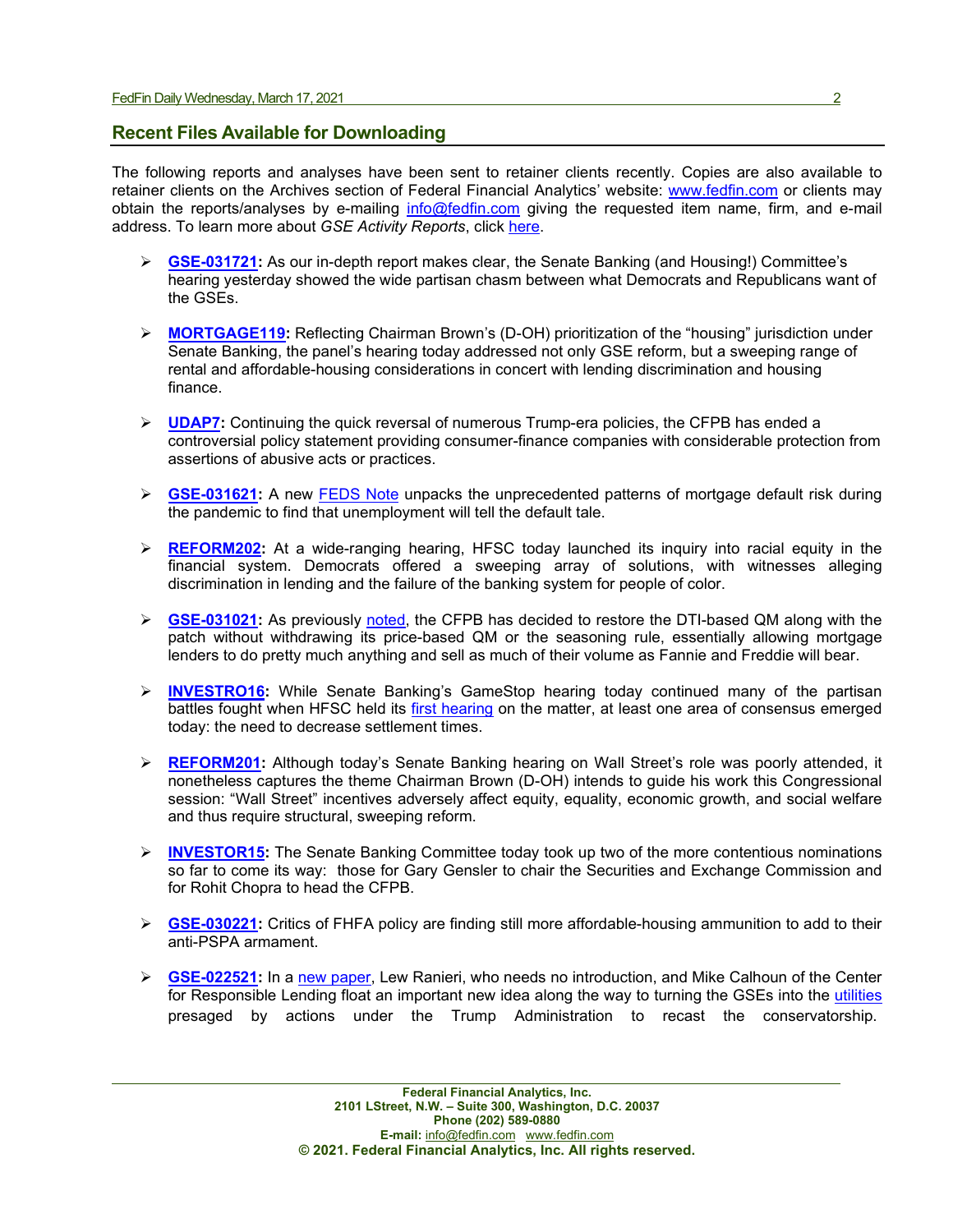## **Recent Files Available for Downloading**

The following reports and analyses have been sent to retainer clients recently. Copies are also available to retainer clients on the Archives section of Federal Financial Analytics' website: [www.fedfin.com](http://www.fedfin.com/) or clients may obtain the reports/analyses by e-mailing [info@fedfin.com](mailto:info@fedfin.com) giving the requested item name, firm, and e-mail address. To learn more about *GSE Activity Reports*, click [here.](https://fedfin.com/gse-activity-report/)

- **[GSE-031721:](https://fedfin.com/wp-content/uploads/2021/03/GSE-031721.pdf)** As our in-depth report makes clear, the Senate Banking (and Housing!) Committee's hearing yesterday showed the wide partisan chasm between what Democrats and Republicans want of the GSEs.
- **[MORTGAGE119:](https://fedfin.com/wp-content/uploads/2021/03/MORTGAGE119.pdf)** Reflecting Chairman Brown's (D-OH) prioritization of the "housing" jurisdiction under Senate Banking, the panel's hearing today addressed not only GSE reform, but a sweeping range of rental and affordable-housing considerations in concert with lending discrimination and housing finance.
- **[UDAP7:](https://fedfin.com/wp-content/uploads/2021/03/UDAP7.pdf)** Continuing the quick reversal of numerous Trump-era policies, the CFPB has ended a controversial policy statement providing consumer-finance companies with considerable protection from assertions of abusive acts or practices.
- **[GSE-031621:](https://fedfin.com/wp-content/uploads/2021/03/GSE-031621.pdf)** A new [FEDS Note](https://www.federalreserve.gov/econres/notes/feds-notes/why-is-the-default-rate-so-low-20210304.htm) unpacks the unprecedented patterns of mortgage default risk during the pandemic to find that unemployment will tell the default tale.
- **REFORM202:** At a wide-ranging hearing, HFSC today launched its inquiry into racial equity in the financial system. Democrats offered a sweeping array of solutions, with witnesses alleging discrimination in lending and the failure of the banking system for people of color.
- **[GSE-031021:](https://fedfin.com/wp-content/uploads/2021/03/GSE-031021.pdf)** As previously [noted,](https://fedfin.com/wp-content/uploads/2021/02/Daily022321.pdf) the CFPB has decided to restore the DTI-based QM along with the patch without withdrawing its price-based QM or the seasoning rule, essentially allowing mortgage lenders to do pretty much anything and sell as much of their volume as Fannie and Freddie will bear.
- **[INVESTRO16:](https://fedfin.com/wp-content/uploads/2021/03/INVESTOR16.pdf)** While Senate Banking's GameStop hearing today continued many of the partisan battles fought when HFSC held its [first hearing](https://fedfin.com/wp-content/uploads/2021/02/Daily021821.pdf) on the matter, at least one area of consensus emerged today: the need to decrease settlement times.
- **[REFORM201:](https://fedfin.com/wp-content/uploads/2021/03/REFORM201.pdf)** Although today's Senate Banking hearing on Wall Street's role was poorly attended, it nonetheless captures the theme Chairman Brown (D-OH) intends to guide his work this Congressional session: "Wall Street" incentives adversely affect equity, equality, economic growth, and social welfare and thus require structural, sweeping reform.
- **[INVESTOR15:](https://fedfin.com/wp-content/uploads/2021/03/INVESTOR15.pdf)** The Senate Banking Committee today took up two of the more contentious nominations so far to come its way: those for Gary Gensler to chair the Securities and Exchange Commission and for Rohit Chopra to head the CFPB.
- **► [GSE-030221:](https://fedfin.com/wp-content/uploads/2021/03/GSE-030221.pdf)** Critics of FHFA policy are finding still more affordable-housing ammunition to add to their anti-PSPA armament.
- **[GSE-022521:](https://fedfin.com/wp-content/uploads/2021/02/GSE-022521.pdf)** In a [new paper,](https://www.brookings.edu/wp-content/uploads/2021/02/20210219_CRM_CalhounRanieri_FINAL.pdf) Lew Ranieri, who needs no introduction, and Mike Calhoun of the Center for Responsible Lending float an important new idea along the way to turning the GSEs into the [utilities](https://fedfin.com/wp-content/uploads/2021/02/GSE-012221.pdf) presaged by actions under the Trump Administration to recast the conservatorship.